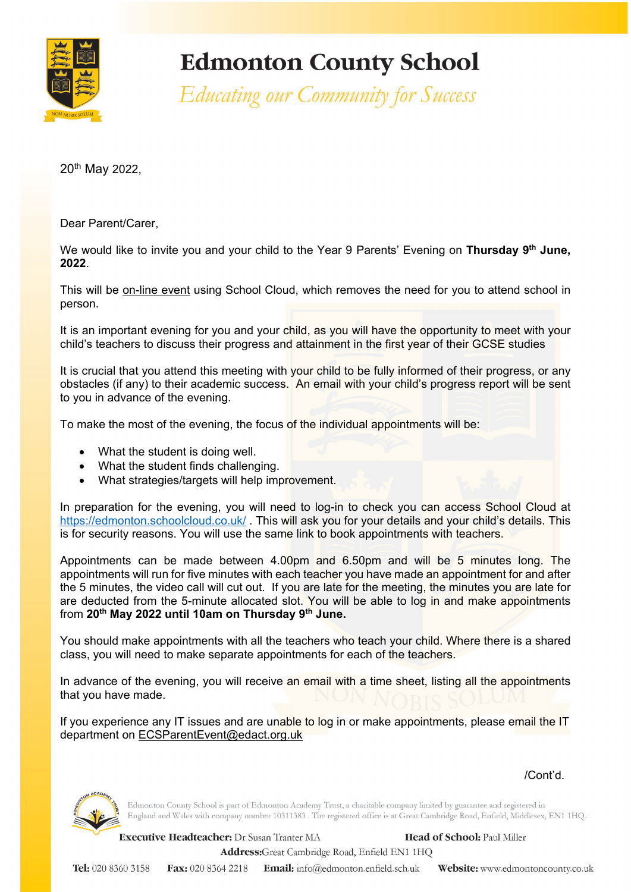

## **Edmonton County School**

Educating our Community for Success

20th May 2022,

Dear Parent/Carer,

We would like to invite you and your child to the Year 9 Parents' Evening on **Thursday 9th June, 2022**.

This will be on-line event using School Cloud, which removes the need for you to attend school in person.

It is an important evening for you and your child, as you will have the opportunity to meet with your child's teachers to discuss their progress and attainment in the first year of their GCSE studies

It is crucial that you attend this meeting with your child to be fully informed of their progress, or any obstacles (if any) to their academic success. An email with your child's progress report will be sent to you in advance of the evening.

To make the most of the evening, the focus of the individual appointments will be:

- What the student is doing well.
- What the student finds challenging.
- What strategies/targets will help improvement.

In preparation for the evening, you will need to log-in to check you can access School Cloud at <https://edmonton.schoolcloud.co.uk/> . This will ask you for your details and your child's details. This is for security reasons. You will use the same link to book appointments with teachers.

Appointments can be made between 4.00pm and 6.50pm and will be 5 minutes long. The appointments will run for five minutes with each teacher you have made an appointment for and after the 5 minutes, the video call will cut out. If you are late for the meeting, the minutes you are late for are deducted from the 5-minute allocated slot. You will be able to log in and make appointments from **20th May 2022 until 10am on Thursday 9th June.**

You should make appointments with all the teachers who teach your child. Where there is a shared class, you will need to make separate appointments for each of the teachers.

In advance of the evening, you will receive an email with a time sheet, listing all the appointments that you have made.

If you experience any IT issues and are unable to log in or make appointments, please email the IT department on [ECSParentEvent@edact.org.uk](mailto:ECSParentEvent@edact.org.uk)

/Cont'd.



Edmonton County School is part of Edmonton Academy Trust, a charitable company limited by guarantee and registered in England and Wales with company number 10311383 . The registered office is at Great Cambridge Road, Enfield, Middlesex, EN1 1HQ.

Executive Headteacher: Dr Susan Tranter MA Head of School: Paul Miller

Address:Great Cambridge Road, Enfield EN1 1HQ